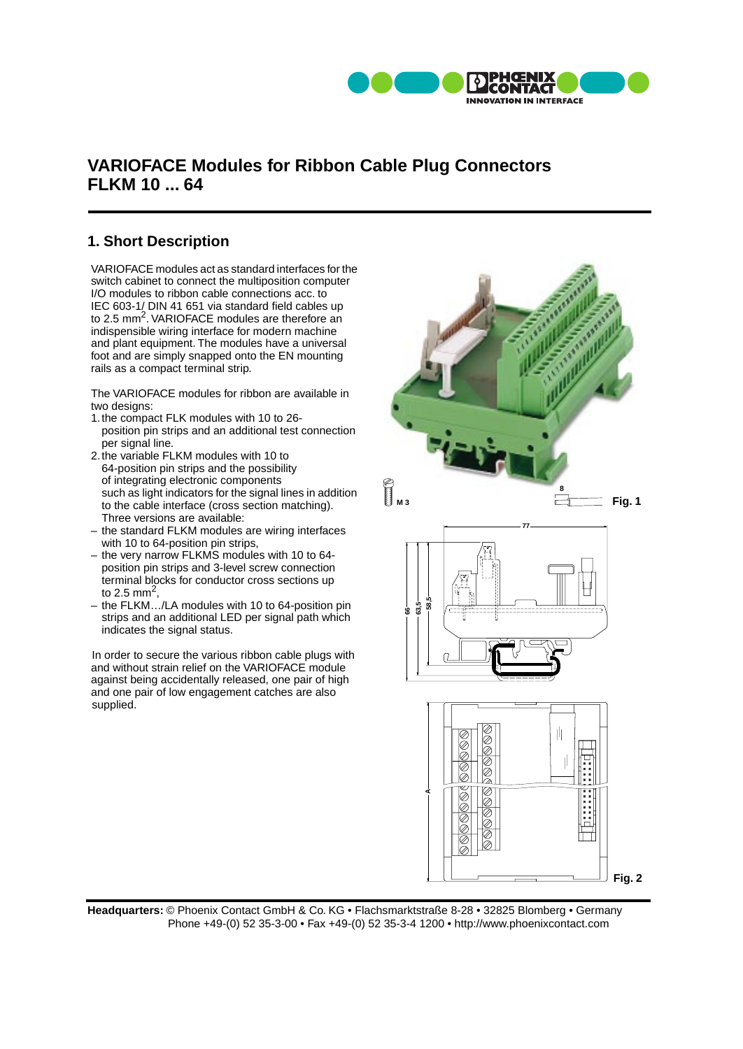

## **VARIOFACE Modules for Ribbon Cable Plug Connectors FLKM 10 ... 64**

## **1. Short Description**

VARIOFACE modules act as standard interfaces for the switch cabinet to connect the multiposition computer I/O modules to ribbon cable connections acc. to IEC 603-1/ DIN 41 651 via standard field cables up to 2.5 mm<sup>2</sup>. VARIOFACE modules are therefore an indispensible wiring interface for modern machine and plant equipment. The modules have a universal foot and are simply snapped onto the EN mounting rails as a compact terminal strip.

The VARIOFACE modules for ribbon are available in two designs:

- 1.the compact FLK modules with 10 to 26 position pin strips and an additional test connection per signal line.
- 2.the variable FLKM modules with 10 to 64-position pin strips and the possibility of integrating electronic components such as light indicators for the signal lines in addition to the cable interface (cross section matching). Three versions are available:
- the standard FLKM modules are wiring interfaces with 10 to 64-position pin strips.
- the very narrow FLKMS modules with 10 to 64 position pin strips and 3-level screw connection terminal blocks for conductor cross sections up to 2.5 mm<sup>2</sup>
- the FLKM…/LA modules with 10 to 64-position pin strips and an additional LED per signal path which indicates the signal status.

In order to secure the various ribbon cable plugs with and without strain relief on the VARIOFACE module against being accidentally released, one pair of high and one pair of low engagement catches are also supplied.